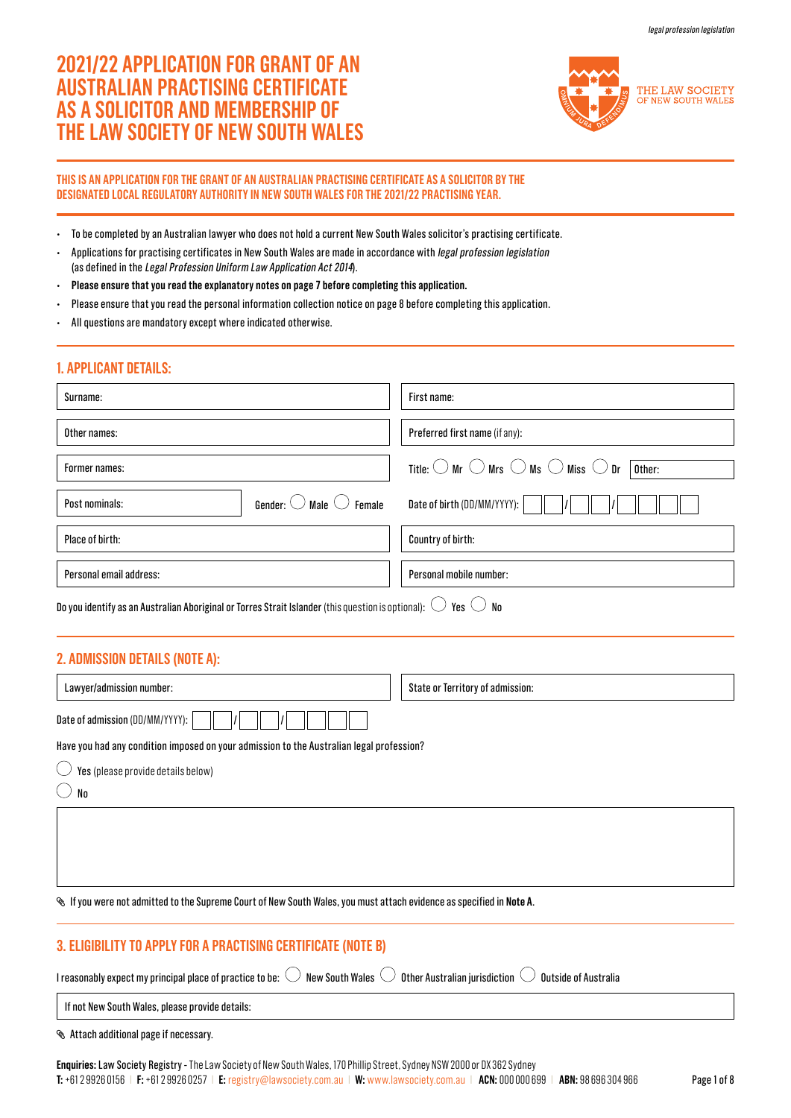# **2021/22 APPLICATION FOR GRANT OF AN AUSTRALIAN PRACTISING CERTIFICATE AS A SOLICITOR AND MEMBERSHIP OF THE LAW SOCIETY OF NEW SOUTH WALES**



### **THIS IS AN APPLICATION FOR THE GRANT OF AN AUSTRALIAN PRACTISING CERTIFICATE AS A SOLICITOR BY THE DESIGNATED LOCAL REGULATORY AUTHORITY IN NEW SOUTH WALES FOR THE 2021/22 PRACTISING YEAR.**

- To be completed by an Australian lawyer who does not hold a current New South Wales solicitor's practising certificate.
- Applications for practising certificates in New South Wales are made in accordance with legal profession legislation (as defined in the Legal Profession Uniform Law Application Act 2014).
- **Please ensure that you read the explanatory notes on page 7 before completing this application.**
- Please ensure that you read the personal information collection notice on page 8 before completing this application.
- All questions are mandatory except where indicated otherwise.

# **1. APPLICANT DETAILS:**

| Surname:                                                    | First name:                                                                                         |
|-------------------------------------------------------------|-----------------------------------------------------------------------------------------------------|
| Other names:                                                | Preferred first name (if any):                                                                      |
| Former names:                                               | Title: $\bigcirc$ Mr $\bigcirc$ Mrs $\bigcirc$ Ms $\bigcirc$ Miss $\bigcirc$ Dr $\overline{$ Other: |
| Gender: $\bigcirc$ Male $\bigcirc$ Female<br>Post nominals: | Date of birth $(DD/MM/YYYY)$ :                                                                      |
| Place of birth:                                             | Country of birth:                                                                                   |
| Personal email address:                                     | Personal mobile number:                                                                             |

Do you identify as an Australian Aboriginal or Torres Strait Islander (this question is optional):  $\bigcirc$  Yes  $\bigcirc$  No

# **2. ADMISSION DETAILS (NOTE A):**

| Lawyer/admission number:                                                                 | State or Territory of admission: |  |  |  |
|------------------------------------------------------------------------------------------|----------------------------------|--|--|--|
| Date of admission (DD/MM/YYYY):                                                          |                                  |  |  |  |
| Have you had any condition imposed on your admission to the Australian legal profession? |                                  |  |  |  |
| Yes (please provide details below)                                                       |                                  |  |  |  |
| No                                                                                       |                                  |  |  |  |
|                                                                                          |                                  |  |  |  |

If you were not admitted to the Supreme Court of New South Wales, you must attach evidence as specified in **Note A**.

# **3. ELIGIBILITY TO APPLY FOR A PRACTISING CERTIFICATE (NOTE B)**

I reasonably expect my principal place of practice to be:  $\bigcirc$  New South Wales  $\bigcirc$  Other Australian jurisdiction  $\bigcirc$  Outside of Australia

If not New South Wales, please provide details:

Attach additional page if necessary.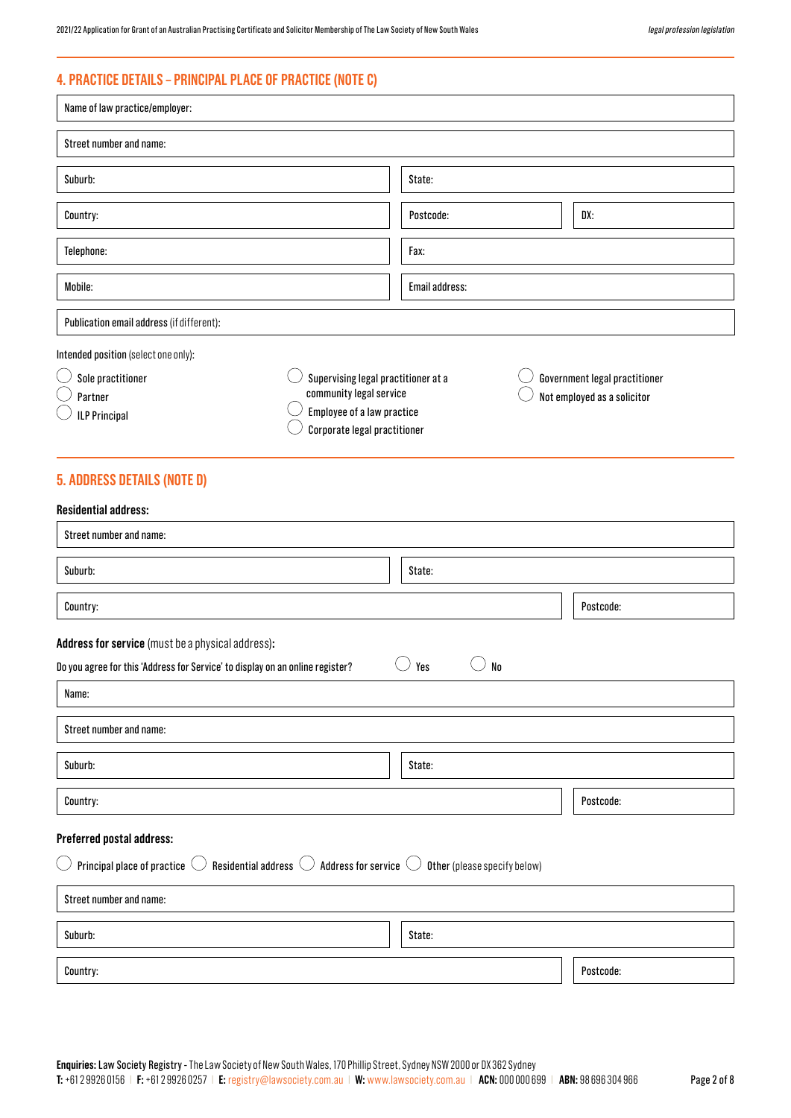# **4. PRACTICE DETAILS – PRINCIPAL PLACE OF PRACTICE (NOTE C)**

| Name of law practice/employer:                                                                                                                               |                                                                                                                              |                |  |                                                              |
|--------------------------------------------------------------------------------------------------------------------------------------------------------------|------------------------------------------------------------------------------------------------------------------------------|----------------|--|--------------------------------------------------------------|
| Street number and name:                                                                                                                                      |                                                                                                                              |                |  |                                                              |
| Suburb:                                                                                                                                                      |                                                                                                                              | State:         |  |                                                              |
| Country:                                                                                                                                                     |                                                                                                                              | Postcode:      |  | DX:                                                          |
| Telephone:                                                                                                                                                   |                                                                                                                              | Fax:           |  |                                                              |
| Mobile:                                                                                                                                                      |                                                                                                                              | Email address: |  |                                                              |
| Publication email address (if different):                                                                                                                    |                                                                                                                              |                |  |                                                              |
| Intended position (select one only):<br>Sole practitioner<br>Partner<br><b>ILP Principal</b>                                                                 | Supervising legal practitioner at a<br>community legal service<br>Employee of a law practice<br>Corporate legal practitioner |                |  | Government legal practitioner<br>Not employed as a solicitor |
| <b>5. ADDRESS DETAILS (NOTE D)</b>                                                                                                                           |                                                                                                                              |                |  |                                                              |
| <b>Residential address:</b>                                                                                                                                  |                                                                                                                              |                |  |                                                              |
| Street number and name:                                                                                                                                      |                                                                                                                              |                |  |                                                              |
| Suburb:                                                                                                                                                      |                                                                                                                              | State:         |  |                                                              |
| Country:                                                                                                                                                     |                                                                                                                              |                |  | Postcode:                                                    |
| Address for service (must be a physical address):                                                                                                            |                                                                                                                              |                |  |                                                              |
| Yes<br>N <sub>0</sub><br>Do you agree for this 'Address for Service' to display on an online register?                                                       |                                                                                                                              |                |  |                                                              |
| Name:                                                                                                                                                        |                                                                                                                              |                |  |                                                              |
| Street number and name:                                                                                                                                      |                                                                                                                              |                |  |                                                              |
| Suburb:                                                                                                                                                      |                                                                                                                              | State:         |  |                                                              |
| Country:                                                                                                                                                     |                                                                                                                              |                |  | Postcode:                                                    |
| Preferred postal address:                                                                                                                                    |                                                                                                                              |                |  |                                                              |
| Principal place of practice $\circlearrowright$ Residential address $\circlearrowright$ Address for service $\circlearrowright$ Other (please specify below) |                                                                                                                              |                |  |                                                              |
| Street number and name:                                                                                                                                      |                                                                                                                              |                |  |                                                              |
| Suburb:                                                                                                                                                      |                                                                                                                              | State:         |  |                                                              |
| Country:                                                                                                                                                     |                                                                                                                              |                |  | Postcode:                                                    |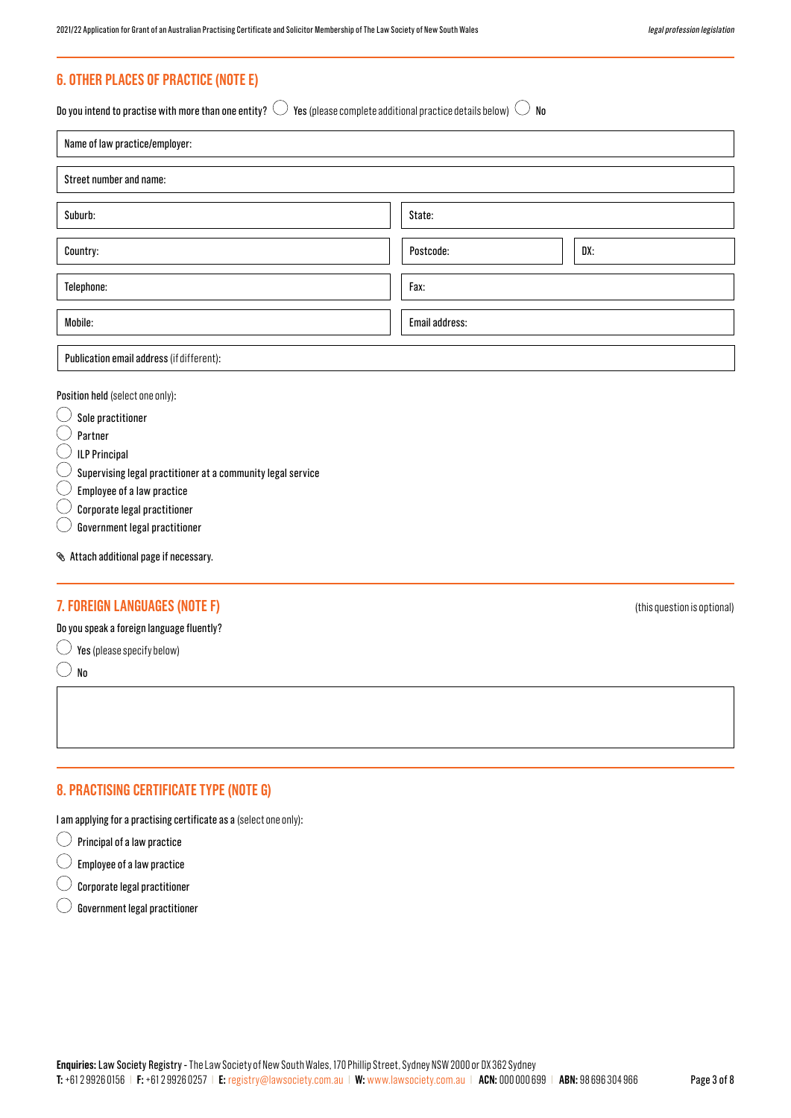# **6. OTHER PLACES OF PRACTICE (NOTE E)**

Do you intend to practise with more than one entity?  $\bigcirc$  Yes (please complete additional practice details below)  $\bigcirc$  No

| Name of law practice/employer:            |                  |  |  |  |
|-------------------------------------------|------------------|--|--|--|
| Street number and name:                   |                  |  |  |  |
| Suburb:                                   | State:           |  |  |  |
| Country:                                  | DX:<br>Postcode: |  |  |  |
| Telephone:                                | Fax:             |  |  |  |
| Mobile:                                   | Email address:   |  |  |  |
| Publication email address (if different): |                  |  |  |  |

Position held (select one only):

 $\bigcirc$ Sole practitioner

C Partner

 $\left(\begin{array}{c} \end{array}\right)$ ILP Principal

Supervising legal practitioner at a community legal service

Employee of a law practice

Corporate legal practitioner

Government legal practitioner

Attach additional page if necessary.

# **7. FOREIGN LANGUAGES (NOTE F)** (this question is optional)

Do you speak a foreign language fluently?

 $\bigcirc$  Yes (please specify below)

 $\bigcirc$  No

# **8. PRACTISING CERTIFICATE TYPE (NOTE G)**

I am applying for a practising certificate as a (select one only):

 $\bigcirc$  Principal of a law practice

 $\bigcirc$ Employee of a law practice

 $\left(\begin{array}{c} \end{array}\right)$ Corporate legal practitioner

 $\bigcirc$ Government legal practitioner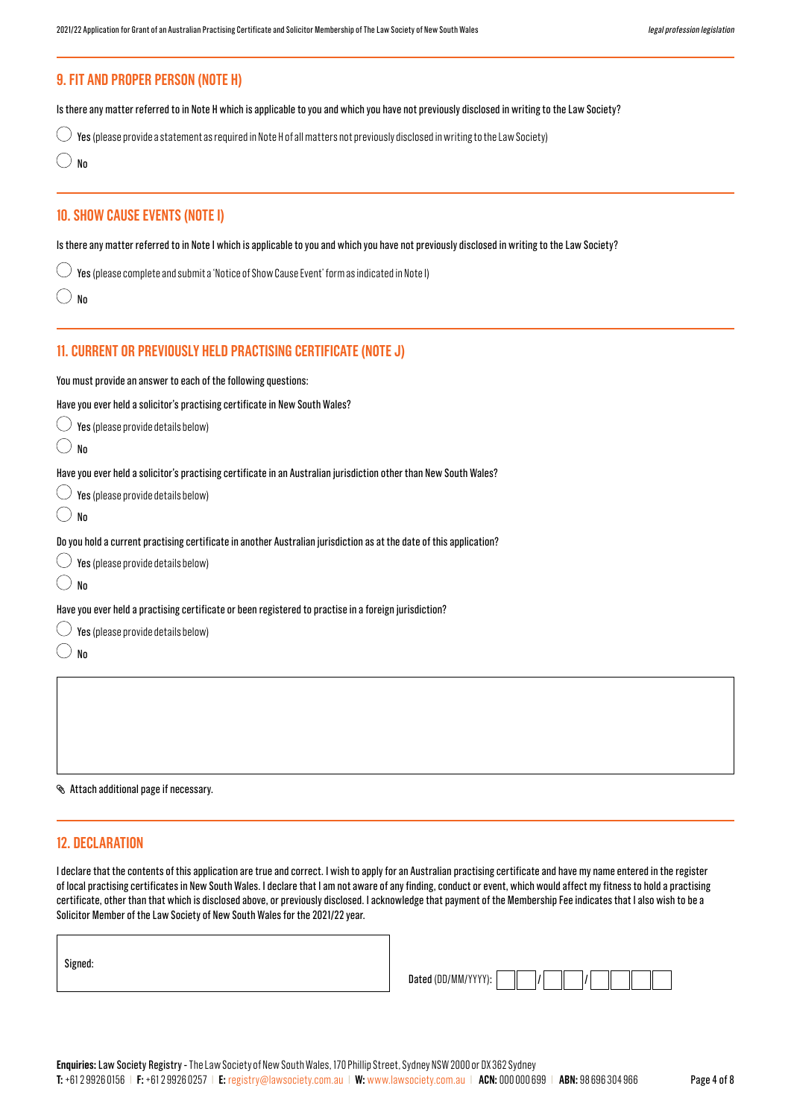# **10. SHOW CAUSE EVENTS (NOTE I) 11. CURRENT OR PREVIOUSLY HELD PRACTISING CERTIFICATE (NOTE J)** Is there any matter referred to in Note I which is applicable to you and which you have not previously disclosed in writing to the Law Society? You must provide an answer to each of the following questions: Have you ever held a solicitor's practising certificate in New South Wales?  $\bigcirc$  Yes (please provide details below)  $\bigcirc$  No Have you ever held a solicitor's practising certificate in an Australian jurisdiction other than New South Wales?  $\bigcirc$  Yes (please provide details below)  $\bigcirc$  No Do you hold a current practising certificate in another Australian jurisdiction as at the date of this application?  $\bigcirc$  Yes (please provide details below)  $\bigcirc$  No Have you ever held a practising certificate or been registered to practise in a foreign jurisdiction?  $\bigcirc$  Yes (please provide details below)  $\bigcirc$  No  $\bigcirc$  Yes (please complete and submit a 'Notice of Show Cause Event' form as indicated in Note I)  $\bigcirc$  No **9. FIT AND PROPER PERSON (NOTE H)**  Is there any matter referred to in Note H which is applicable to you and which you have not previously disclosed in writing to the Law Society?  $\bigcirc$  Yes (please provide a statement as required in Note H of all matters not previously disclosed in writing to the Law Society)  $\bigcirc$  No

Attach additional page if necessary.

# **12. DECLARATION**

I declare that the contents of this application are true and correct. I wish to apply for an Australian practising certificate and have my name entered in the register of local practising certificates in New South Wales. I declare that I am not aware of any finding, conduct or event, which would affect my fitness to hold a practising certificate, other than that which is disclosed above, or previously disclosed. I acknowledge that payment of the Membership Fee indicates that I also wish to be a Solicitor Member of the Law Society of New South Wales for the 2021/22 year.

| Signed: |  |  |  |
|---------|--|--|--|
|         |  |  |  |

| Dated (DD/MM/YYYY): |  |  |  |  |
|---------------------|--|--|--|--|
|                     |  |  |  |  |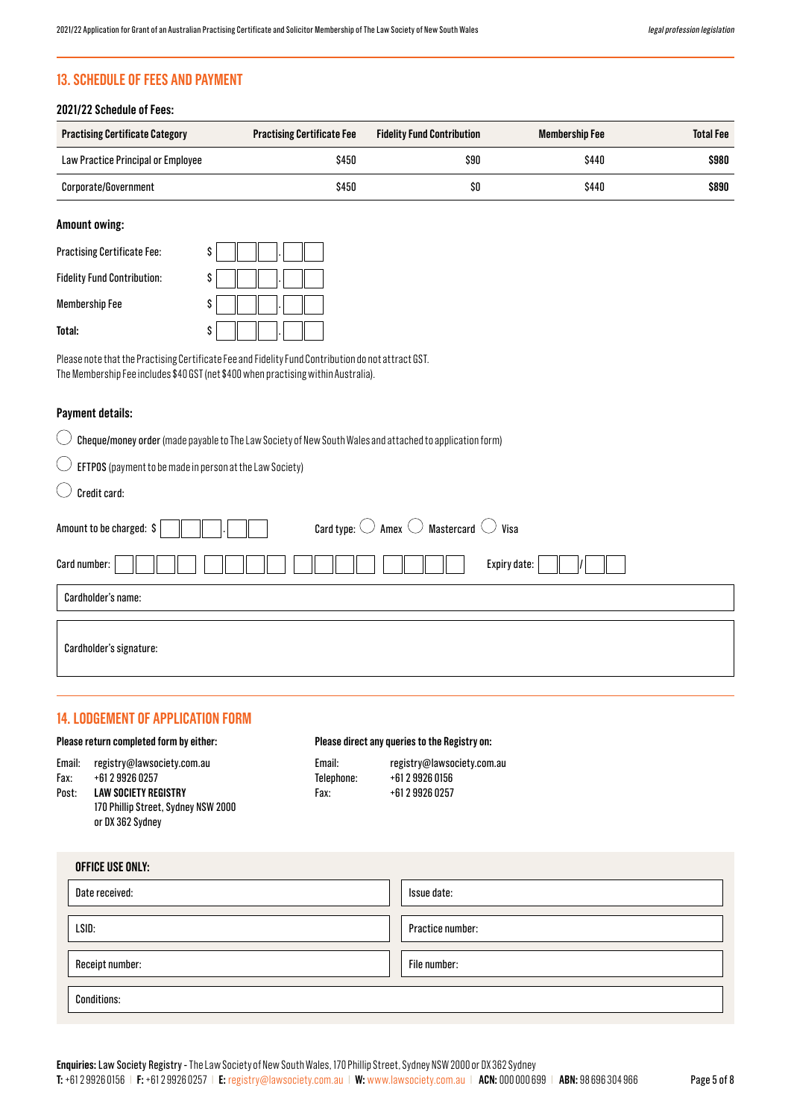# **13. SCHEDULE OF FEES AND PAYMENT**

### **2021/22 Schedule of Fees:**

| <b>Practising Certificate Category</b> | <b>Practising Certificate Fee</b> | <b>Fidelity Fund Contribution</b> | Membership Fee | <b>Total Fee</b> |
|----------------------------------------|-----------------------------------|-----------------------------------|----------------|------------------|
| Law Practice Principal or Employee     | \$450                             | \$90                              | \$440          | \$980            |
| Corporate/Government                   | \$450                             | \$O                               | \$440          | \$890            |

# **Amount owing:**

| <b>Practising Certificate Fee:</b> | \$ |
|------------------------------------|----|
| <b>Fidelity Fund Contribution:</b> | S  |
| Membership Fee                     | S  |
| Total:                             | S  |

Please note that the Practising Certificate Fee and Fidelity Fund Contribution do not attract GST. The Membership Fee includes \$40 GST (net \$400 when practising within Australia).

#### **Payment details:**

 $\bigcirc$  Cheque/money order (made payable to The Law Society of New South Wales and attached to application form)

 $\bigcap$ EFTPOS (payment to be made in person at the Law Society)

 $\bigcirc$ Credit card:

| Amount to be charged: \$ | Card type: $\bigcirc$ Amex $\bigcirc$ Mastercard $\bigcirc$ Visa |
|--------------------------|------------------------------------------------------------------|
| Card number:             | Expiry date:                                                     |
| Cardholder's name:       |                                                                  |
| Cardholder's signature:  |                                                                  |

### **14. LODGEMENT OF APPLICATION FORM**

#### **Please return completed form by either:**

#### **Please direct any queries to the Registry on:**

| Email: | registry@lawsociety.com.au |
|--------|----------------------------|
| Fax:   | +61 2 9926 0257            |

Email: registry@lawsociety.com.au Telephone: +61 2 9926 0156 Fax: +61 2 9926 0257

| Post: | <b>LAW SOCIETY REGISTRY</b>         |
|-------|-------------------------------------|
|       | 170 Phillip Street, Sydney NSW 2000 |
|       | or DX 362 Sydney                    |

| OFFICE USE ONLY:   |                  |
|--------------------|------------------|
| Date received:     | Issue date:      |
|                    |                  |
| LSID:              | Practice number: |
|                    |                  |
| Receipt number:    | File number:     |
| <b>Conditions:</b> |                  |
|                    |                  |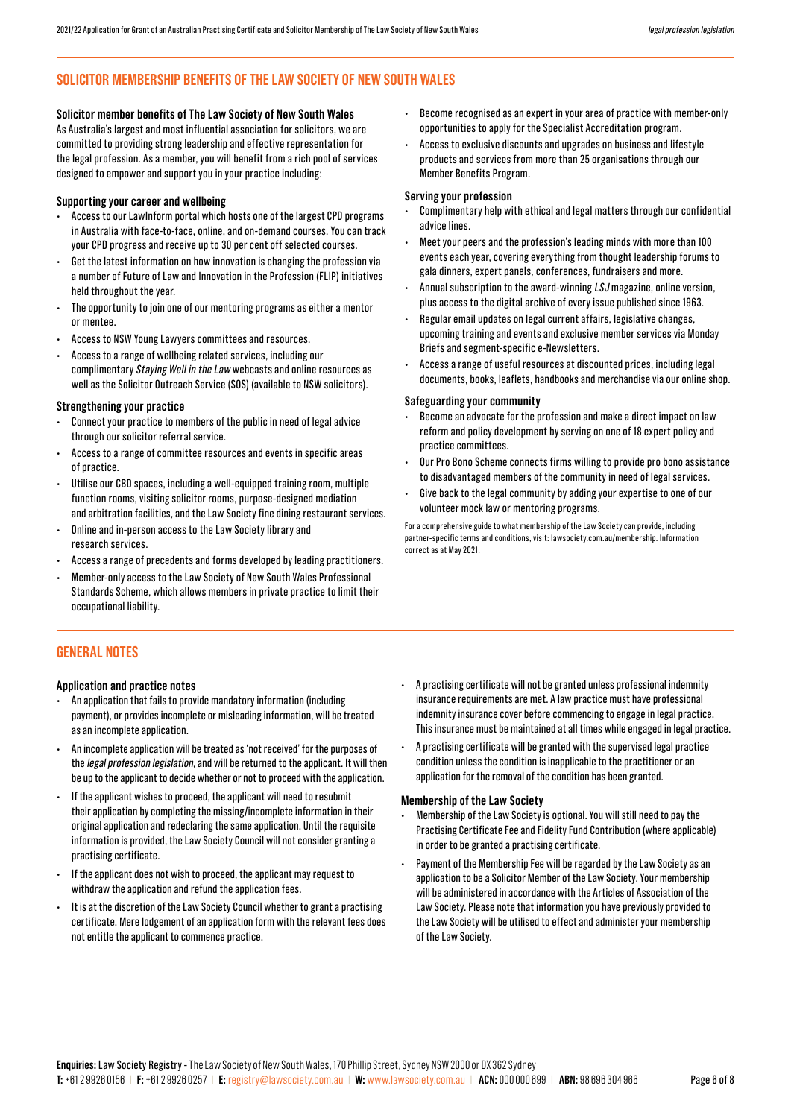# **SOLICITOR MEMBERSHIP BENEFITS OF THE LAW SOCIETY OF NEW SOUTH WALES**

**Solicitor member benefits of The Law Society of New South Wales** As Australia's largest and most influential association for solicitors, we are committed to providing strong leadership and effective representation for the legal profession. As a member, you will benefit from a rich pool of services designed to empower and support you in your practice including:

#### **Supporting your career and wellbeing**

- Access to our LawInform portal which hosts one of the largest CPD programs in Australia with face-to-face, online, and on-demand courses. You can track your CPD progress and receive up to 30 per cent off selected courses.
- Get the latest information on how innovation is changing the profession via a number of Future of Law and Innovation in the Profession (FLIP) initiatives held throughout the year.
- The opportunity to join one of our mentoring programs as either a mentor or mentee.
- Access to NSW Young Lawyers committees and resources.
- Access to a range of wellbeing related services, including our complimentary Staying Well in the Law webcasts and online resources as well as the Solicitor Outreach Service (SOS) (available to NSW solicitors).

#### **Strengthening your practice**

- Connect your practice to members of the public in need of legal advice through our solicitor referral service.
- Access to a range of committee resources and events in specific areas of practice.
- Utilise our CBD spaces, including a well-equipped training room, multiple function rooms, visiting solicitor rooms, purpose-designed mediation and arbitration facilities, and the Law Society fine dining restaurant services.
- Online and in-person access to the Law Society library and research services.
- Access a range of precedents and forms developed by leading practitioners.
- Member-only access to the Law Society of New South Wales Professional Standards Scheme, which allows members in private practice to limit their occupational liability.
- Become recognised as an expert in your area of practice with member-only opportunities to apply for the Specialist Accreditation program.
- Access to exclusive discounts and upgrades on business and lifestyle products and services from more than 25 organisations through our Member Benefits Program.

#### **Serving your profession**

- Complimentary help with ethical and legal matters through our confidential advice lines.
- Meet your peers and the profession's leading minds with more than 100 events each year, covering everything from thought leadership forums to gala dinners, expert panels, conferences, fundraisers and more.
- Annual subscription to the award-winning  $LSJ$  magazine, online version, plus access to the digital archive of every issue published since 1963.
- Regular email updates on legal current affairs, legislative changes, upcoming training and events and exclusive member services via Monday Briefs and segment-specific e-Newsletters.
- Access a range of useful resources at discounted prices, including legal documents, books, leaflets, handbooks and merchandise via our online shop.

#### **Safeguarding your community**

- Become an advocate for the profession and make a direct impact on law reform and policy development by serving on one of 18 expert policy and practice committees.
- Our Pro Bono Scheme connects firms willing to provide pro bono assistance to disadvantaged members of the community in need of legal services.
- Give back to the legal community by adding your expertise to one of our volunteer mock law or mentoring programs.

For a comprehensive guide to what membership of the Law Society can provide, including partner-specific terms and conditions, visit: lawsociety.com.au/membership. Information correct as at May 2021.

# **GENERAL NOTES**

#### **Application and practice notes**

- An application that fails to provide mandatory information (including payment), or provides incomplete or misleading information, will be treated as an incomplete application.
- An incomplete application will be treated as 'not received' for the purposes of the legal profession legislation, and will be returned to the applicant. It will then be up to the applicant to decide whether or not to proceed with the application.
- If the applicant wishes to proceed, the applicant will need to resubmit their application by completing the missing/incomplete information in their original application and redeclaring the same application. Until the requisite information is provided, the Law Society Council will not consider granting a practising certificate.
- If the applicant does not wish to proceed, the applicant may request to withdraw the application and refund the application fees.
- It is at the discretion of the Law Society Council whether to grant a practising certificate. Mere lodgement of an application form with the relevant fees does not entitle the applicant to commence practice.
- A practising certificate will not be granted unless professional indemnity insurance requirements are met. A law practice must have professional indemnity insurance cover before commencing to engage in legal practice. This insurance must be maintained at all times while engaged in legal practice.
- A practising certificate will be granted with the supervised legal practice condition unless the condition is inapplicable to the practitioner or an application for the removal of the condition has been granted.

#### **Membership of the Law Society**

- Membership of the Law Society is optional. You will still need to pay the Practising Certificate Fee and Fidelity Fund Contribution (where applicable) in order to be granted a practising certificate.
- Payment of the Membership Fee will be regarded by the Law Society as an application to be a Solicitor Member of the Law Society. Your membership will be administered in accordance with the Articles of Association of the Law Society. Please note that information you have previously provided to the Law Society will be utilised to effect and administer your membership of the Law Society.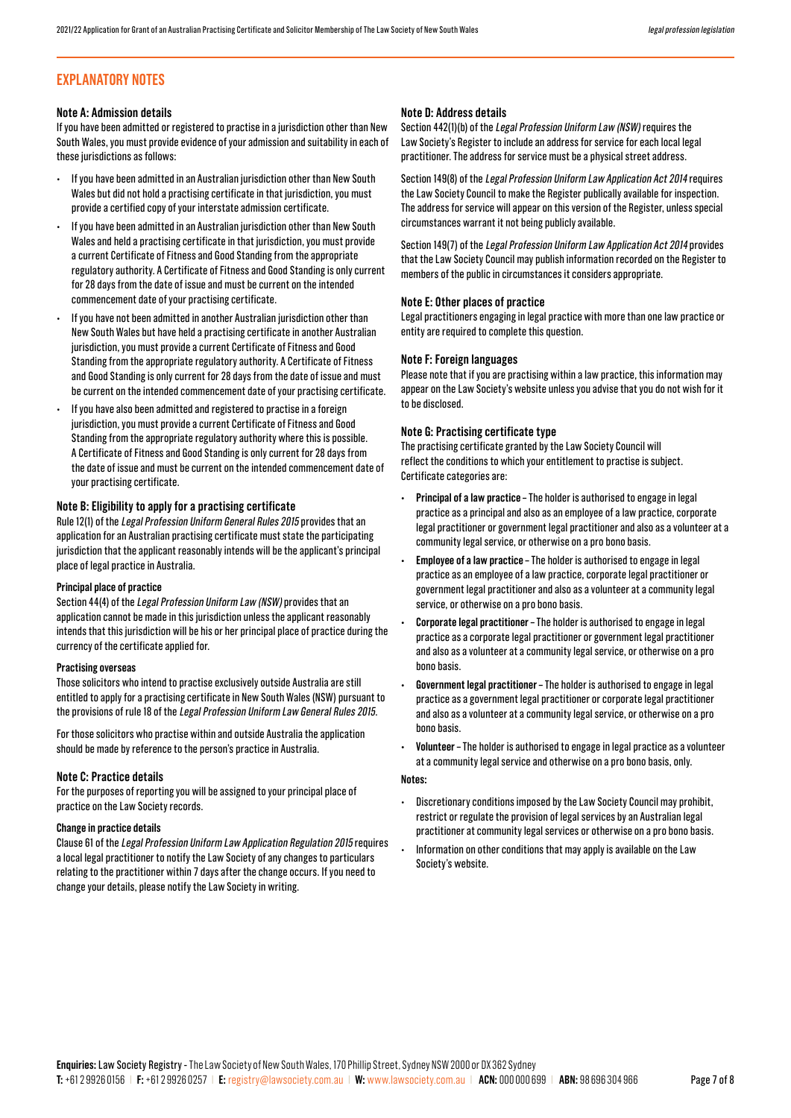# **EXPLANATORY NOTES**

#### **Note A: Admission details**

If you have been admitted or registered to practise in a jurisdiction other than New South Wales, you must provide evidence of your admission and suitability in each of these jurisdictions as follows:

- If you have been admitted in an Australian jurisdiction other than New South Wales but did not hold a practising certificate in that jurisdiction, you must provide a certified copy of your interstate admission certificate.
- If you have been admitted in an Australian jurisdiction other than New South Wales and held a practising certificate in that jurisdiction, you must provide a current Certificate of Fitness and Good Standing from the appropriate regulatory authority. A Certificate of Fitness and Good Standing is only current for 28 days from the date of issue and must be current on the intended commencement date of your practising certificate.
- If you have not been admitted in another Australian jurisdiction other than New South Wales but have held a practising certificate in another Australian jurisdiction, you must provide a current Certificate of Fitness and Good Standing from the appropriate regulatory authority. A Certificate of Fitness and Good Standing is only current for 28 days from the date of issue and must be current on the intended commencement date of your practising certificate.
- If you have also been admitted and registered to practise in a foreign jurisdiction, you must provide a current Certificate of Fitness and Good Standing from the appropriate regulatory authority where this is possible. A Certificate of Fitness and Good Standing is only current for 28 days from the date of issue and must be current on the intended commencement date of your practising certificate.

#### **Note B: Eligibility to apply for a practising certificate**

Rule 12(1) of the Legal Profession Uniform General Rules 2015 provides that an application for an Australian practising certificate must state the participating jurisdiction that the applicant reasonably intends will be the applicant's principal place of legal practice in Australia.

#### **Principal place of practice**

Section 44(4) of the Legal Profession Uniform Law (NSW) provides that an application cannot be made in this jurisdiction unless the applicant reasonably intends that this jurisdiction will be his or her principal place of practice during the currency of the certificate applied for.

#### **Practising overseas**

Those solicitors who intend to practise exclusively outside Australia are still entitled to apply for a practising certificate in New South Wales (NSW) pursuant to the provisions of rule 18 of the Legal Profession Uniform Law General Rules 2015.

For those solicitors who practise within and outside Australia the application should be made by reference to the person's practice in Australia.

#### **Note C: Practice details**

For the purposes of reporting you will be assigned to your principal place of practice on the Law Society records.

#### **Change in practice details**

Clause 61 of the Legal Profession Uniform Law Application Regulation 2015 requires a local legal practitioner to notify the Law Society of any changes to particulars relating to the practitioner within 7 days after the change occurs. If you need to change your details, please notify the Law Society in writing.

#### **Note D: Address details**

Section 442(1)(b) of the Legal Profession Uniform Law (NSW) requires the Law Society's Register to include an address for service for each local legal practitioner. The address for service must be a physical street address.

Section 149(8) of the Legal Profession Uniform Law Application Act 2014 requires the Law Society Council to make the Register publically available for inspection. The address for service will appear on this version of the Register, unless special circumstances warrant it not being publicly available.

Section 149(7) of the Legal Profession Uniform Law Application Act 2014 provides that the Law Society Council may publish information recorded on the Register to members of the public in circumstances it considers appropriate.

#### **Note E: Other places of practice**

Legal practitioners engaging in legal practice with more than one law practice or entity are required to complete this question.

#### **Note F: Foreign languages**

Please note that if you are practising within a law practice, this information may appear on the Law Society's website unless you advise that you do not wish for it to be disclosed.

#### **Note G: Practising certificate type**

The practising certificate granted by the Law Society Council will reflect the conditions to which your entitlement to practise is subject. Certificate categories are:

- **• Principal of a law practice –** The holder is authorised to engage in legal practice as a principal and also as an employee of a law practice, corporate legal practitioner or government legal practitioner and also as a volunteer at a community legal service, or otherwise on a pro bono basis.
- **• Employee of a law practice –** The holder is authorised to engage in legal practice as an employee of a law practice, corporate legal practitioner or government legal practitioner and also as a volunteer at a community legal service, or otherwise on a pro bono basis.
- **• Corporate legal practitioner** The holder is authorised to engage in legal practice as a corporate legal practitioner or government legal practitioner and also as a volunteer at a community legal service, or otherwise on a pro bono basis.
- **• Government legal practitioner –** The holder is authorised to engage in legal practice as a government legal practitioner or corporate legal practitioner and also as a volunteer at a community legal service, or otherwise on a pro bono basis.
- **• Volunteer –** The holder is authorised to engage in legal practice as a volunteer at a community legal service and otherwise on a pro bono basis, only.

#### **Notes:**

- Discretionary conditions imposed by the Law Society Council may prohibit, restrict or regulate the provision of legal services by an Australian legal practitioner at community legal services or otherwise on a pro bono basis.
- Information on other conditions that may apply is available on the Law Society's website.